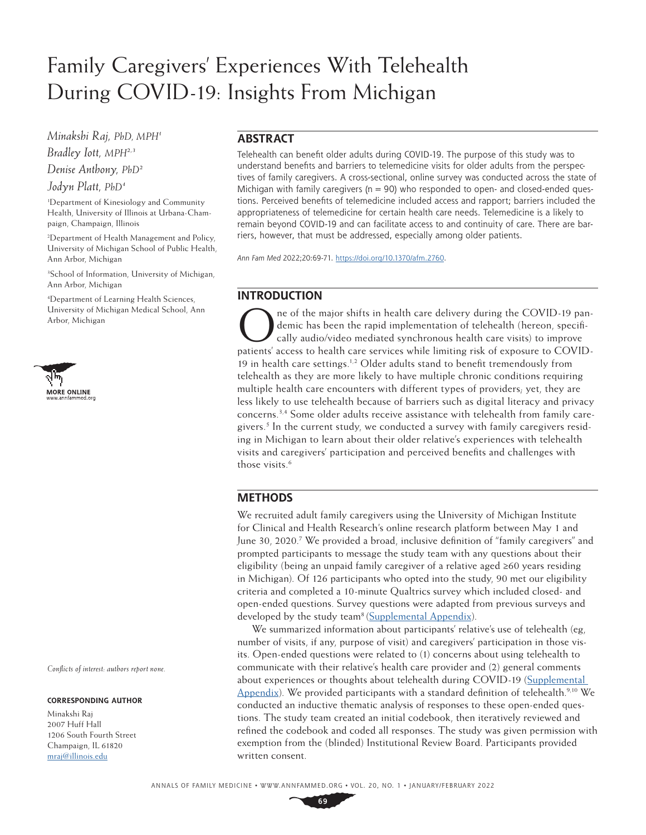# Family Caregivers' Experiences With Telehealth During COVID-19: Insights From Michigan

*Minakshi Raj, PhD, MPH1 Bradley Iott, MPH2,3 Denise Anthony, PhD2*

*Jodyn Platt, PhD4*

1 Department of Kinesiology and Community Health, University of Illinois at Urbana-Champaign, Champaign, Illinois

2 Department of Health Management and Policy, University of Michigan School of Public Health, Ann Arbor, Michigan

3 School of Information, University of Michigan, Ann Arbor, Michigan

4 Department of Learning Health Sciences, University of Michigan Medical School, Ann Arbor, Michigan



*Conflicts of interest: authors report none.*

#### **CORRESPONDING AUTHOR**

Minakshi Raj 2007 Huff Hall 1206 South Fourth Street Champaign, IL 61820 [mraj@illinois.edu](mailto:mraj%40illinois.edu?subject=)

# **ABSTRACT**

Telehealth can benefit older adults during COVID-19. The purpose of this study was to understand benefits and barriers to telemedicine visits for older adults from the perspectives of family caregivers. A cross-sectional, online survey was conducted across the state of Michigan with family caregivers ( $n=90$ ) who responded to open- and closed-ended questions. Perceived benefits of telemedicine included access and rapport; barriers included the appropriateness of telemedicine for certain health care needs. Telemedicine is a likely to remain beyond COVID-19 and can facilitate access to and continuity of care. There are barriers, however, that must be addressed, especially among older patients.

*Ann Fam Med* 2022;20:69-71. [https://doi.org/10.1370/afm.2760](mailto:https://doi.org/10.1370/afm.794?subject=).

# **INTRODUCTION**

ne of the major shifts in health care delivery during the COVID-19 pandemic has been the rapid implementation of telehealth (hereon, specifically audio/video mediated synchronous health care visits) to improve patients' access to health care services while limiting risk of exposure to COVID-19 in health care settings.<sup>1,2</sup> Older adults stand to benefit tremendously from telehealth as they are more likely to have multiple chronic conditions requiring multiple health care encounters with different types of providers; yet, they are less likely to use telehealth because of barriers such as digital literacy and privacy concerns.3,4 Some older adults receive assistance with telehealth from family caregivers.<sup>5</sup> In the current study, we conducted a survey with family caregivers residing in Michigan to learn about their older relative's experiences with telehealth visits and caregivers' participation and perceived benefits and challenges with those visits.<sup>6</sup>

## **METHODS**

We recruited adult family caregivers using the University of Michigan Institute for Clinical and Health Research's online research platform between May 1 and June 30, 2020.<sup>7</sup> We provided a broad, inclusive definition of "family caregivers" and prompted participants to message the study team with any questions about their eligibility (being an unpaid family caregiver of a relative aged  $\geq 60$  years residing in Michigan). Of 126 participants who opted into the study, 90 met our eligibility criteria and completed a 10-minute Qualtrics survey which included closed- and open-ended questions. Survey questions were adapted from previous surveys and developed by the study team<sup>8</sup> [\(Supplemental Appendix\)](https://www.AnnFamMed.org/lookup/suppl/doi:10.1370/afm.2760/-/DC1).

We summarized information about participants' relative's use of telehealth (eg, number of visits, if any, purpose of visit) and caregivers' participation in those visits. Open-ended questions were related to (1) concerns about using telehealth to communicate with their relative's health care provider and (2) general comments about experiences or thoughts about telehealth during COVID-19 [\(Supplemental](https://www.AnnFamMed.org/lookup/suppl/doi:10.1370/afm.2760/-/DC1)  [Appendix](https://www.AnnFamMed.org/lookup/suppl/doi:10.1370/afm.2760/-/DC1)). We provided participants with a standard definition of telehealth.<sup>9,10</sup> We conducted an inductive thematic analysis of responses to these open-ended questions. The study team created an initial codebook, then iteratively reviewed and refined the codebook and coded all responses. The study was given permission with exemption from the (blinded) Institutional Review Board. Participants provided written consent.

**69**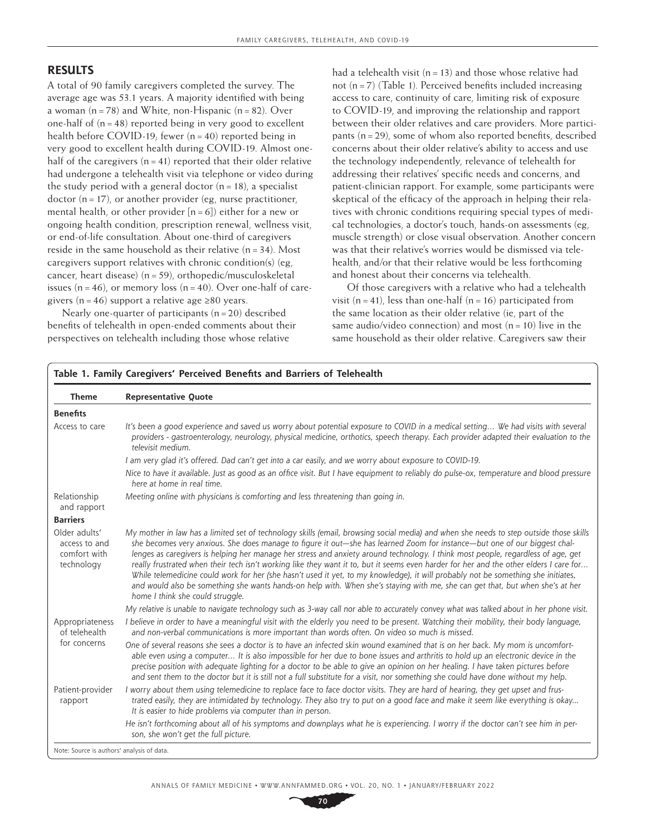# **RESULTS**

A total of 90 family caregivers completed the survey. The average age was 53.1 years. A majority identified with being a woman  $(n=78)$  and White, non-Hispanic  $(n=82)$ . Over one-half of  $(n=48)$  reported being in very good to excellent health before COVID-19; fewer  $(n=40)$  reported being in very good to excellent health during COVID-19. Almost onehalf of the caregivers  $(n=41)$  reported that their older relative had undergone a telehealth visit via telephone or video during the study period with a general doctor  $(n=18)$ , a specialist doctor ( $n=17$ ), or another provider (eg, nurse practitioner, mental health, or other provider  $[n=6]$ ) either for a new or ongoing health condition, prescription renewal, wellness visit, or end-of-life consultation. About one-third of caregivers reside in the same household as their relative  $(n=34)$ . Most caregivers support relatives with chronic condition(s) (eg, cancer, heart disease) (n=59), orthopedic/musculoskeletal issues  $(n=46)$ , or memory loss  $(n=40)$ . Over one-half of caregivers (n = 46) support a relative age  $\geq 80$  years.

Nearly one-quarter of participants  $(n=20)$  described benefits of telehealth in open-ended comments about their perspectives on telehealth including those whose relative

had a telehealth visit  $(n=13)$  and those whose relative had not  $(n=7)$  (Table 1). Perceived benefits included increasing access to care, continuity of care, limiting risk of exposure to COVID-19, and improving the relationship and rapport between their older relatives and care providers. More participants (n=29), some of whom also reported benefits, described concerns about their older relative's ability to access and use the technology independently, relevance of telehealth for addressing their relatives' specific needs and concerns, and patient-clinician rapport. For example, some participants were skeptical of the efficacy of the approach in helping their relatives with chronic conditions requiring special types of medical technologies, a doctor's touch, hands-on assessments (eg, muscle strength) or close visual observation. Another concern was that their relative's worries would be dismissed via telehealth, and/or that their relative would be less forthcoming and honest about their concerns via telehealth.

Of those caregivers with a relative who had a telehealth visit  $(n=41)$ , less than one-half  $(n=16)$  participated from the same location as their older relative (ie, part of the same audio/video connection) and most  $(n=10)$  live in the same household as their older relative. Caregivers saw their

| <b>Theme</b>                                                 | <b>Representative Quote</b>                                                                                                                                                                                                                                                                                                                                                                                                                                                                                                                                                                                                                                                                                                                                                                                                                                 |  |  |  |  |
|--------------------------------------------------------------|-------------------------------------------------------------------------------------------------------------------------------------------------------------------------------------------------------------------------------------------------------------------------------------------------------------------------------------------------------------------------------------------------------------------------------------------------------------------------------------------------------------------------------------------------------------------------------------------------------------------------------------------------------------------------------------------------------------------------------------------------------------------------------------------------------------------------------------------------------------|--|--|--|--|
| <b>Benefits</b>                                              |                                                                                                                                                                                                                                                                                                                                                                                                                                                                                                                                                                                                                                                                                                                                                                                                                                                             |  |  |  |  |
| Access to care                                               | It's been a good experience and saved us worry about potential exposure to COVID in a medical setting We had visits with several<br>providers - gastroenterology, neurology, physical medicine, orthotics, speech therapy. Each provider adapted their evaluation to the<br>televisit medium.                                                                                                                                                                                                                                                                                                                                                                                                                                                                                                                                                               |  |  |  |  |
|                                                              | I am very glad it's offered. Dad can't get into a car easily, and we worry about exposure to COVID-19.                                                                                                                                                                                                                                                                                                                                                                                                                                                                                                                                                                                                                                                                                                                                                      |  |  |  |  |
|                                                              | Nice to have it available. Just as good as an office visit. But I have equipment to reliably do pulse-ox, temperature and blood pressure<br>here at home in real time.                                                                                                                                                                                                                                                                                                                                                                                                                                                                                                                                                                                                                                                                                      |  |  |  |  |
| Relationship<br>and rapport                                  | Meeting online with physicians is comforting and less threatening than going in.                                                                                                                                                                                                                                                                                                                                                                                                                                                                                                                                                                                                                                                                                                                                                                            |  |  |  |  |
| <b>Barriers</b>                                              |                                                                                                                                                                                                                                                                                                                                                                                                                                                                                                                                                                                                                                                                                                                                                                                                                                                             |  |  |  |  |
| Older adults'<br>access to and<br>comfort with<br>technology | My mother in law has a limited set of technology skills (email, browsing social media) and when she needs to step outside those skills<br>she becomes very anxious. She does manage to figure it out—she has learned Zoom for instance—but one of our biggest chal-<br>lenges as caregivers is helping her manage her stress and anxiety around technology. I think most people, regardless of age, get<br>really frustrated when their tech isn't working like they want it to, but it seems even harder for her and the other elders I care for<br>While telemedicine could work for her (she hasn't used it yet, to my knowledge), it will probably not be something she initiates,<br>and would also be something she wants hands-on help with. When she's staying with me, she can get that, but when she's at her<br>home I think she could struggle. |  |  |  |  |
|                                                              | My relative is unable to navigate technology such as 3-way call nor able to accurately convey what was talked about in her phone visit.                                                                                                                                                                                                                                                                                                                                                                                                                                                                                                                                                                                                                                                                                                                     |  |  |  |  |
| Appropriateness<br>of telehealth<br>for concerns             | I believe in order to have a meaningful visit with the elderly you need to be present. Watching their mobility, their body language,<br>and non-verbal communications is more important than words often. On video so much is missed.                                                                                                                                                                                                                                                                                                                                                                                                                                                                                                                                                                                                                       |  |  |  |  |
|                                                              | One of several reasons she sees a doctor is to have an infected skin wound examined that is on her back. My mom is uncomfort-<br>able even using a computer It is also impossible for her due to bone issues and arthritis to hold up an electronic device in the<br>precise position with adequate lighting for a doctor to be able to give an opinion on her healing. I have taken pictures before<br>and sent them to the doctor but it is still not a full substitute for a visit, nor something she could have done without my help.                                                                                                                                                                                                                                                                                                                   |  |  |  |  |
| Patient-provider<br>rapport                                  | I worry about them using telemedicine to replace face to face doctor visits. They are hard of hearing, they get upset and frus-<br>trated easily, they are intimidated by technology. They also try to put on a good face and make it seem like everything is okay<br>It is easier to hide problems via computer than in person.                                                                                                                                                                                                                                                                                                                                                                                                                                                                                                                            |  |  |  |  |
|                                                              | He isn't forthcoming about all of his symptoms and downplays what he is experiencing. I worry if the doctor can't see him in per-<br>son, she won't get the full picture.                                                                                                                                                                                                                                                                                                                                                                                                                                                                                                                                                                                                                                                                                   |  |  |  |  |

Note: Source is authors' analysis of data.

**70**